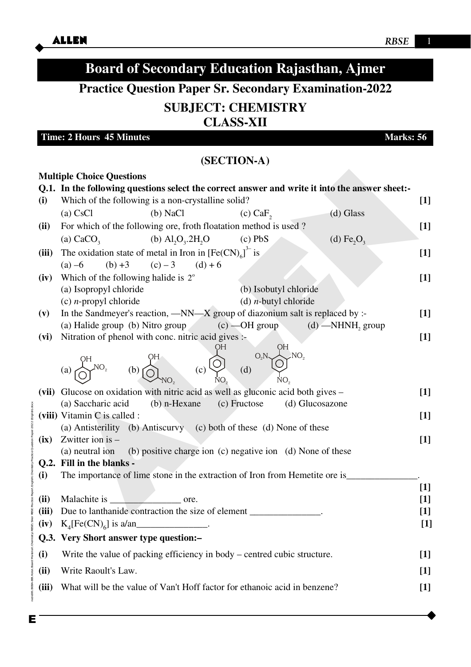### iple Choice Questions<br>
In the following is a non-crystalline solid?<br>
Which of the following is a non-crystalline solid?<br>
(a) CsCl<br>
(b) NaCl<br>
(a) CsCl<br>
(b) NaCl<br>
(a) CsCl<br>
(f) NaCl<br>
(a) CaCo<sub>2</sub> (b) Al<sub>l</sub>Q<sub>2</sub>, 2H<sub>2</sub>O (c) Pb Enode06\B0BA-BB\Kota\Board Material\Chemistry\RBSE\Siker RBSE Practice Paper\English\Chemistry Practice Question Paper-2022 (English).docx **Board of Secondary Education Rajasthan, Ajmer Practice Question Paper Sr. Secondary Examination-2022 SUBJECT: CHEMISTRY CLASS-XII Time: 2 Hours** 45 Minutes Marks: 56 **(SECTION-A) Multiple Choice Questions Q.1. In the following questions select the correct answer and write it into the answer sheet:- (i)** Which of the following is a non-crystalline solid? **[1]** (a) CsCl (b) NaCl (c) CaF<sub>2</sub> (d) Glass **(ii)** For which of the following ore, froth floatation method is used ? **[1]** (a)  $CaCO<sub>3</sub>$ (b)  $\text{Al}_2\text{O}_3$ .2H<sub>2</sub>O  $\alpha$  (d) Fe<sub>2</sub>O<sub>3</sub> (iii) The oxidation state of metal in Iron in  $[Fe(CN)<sub>6</sub>]$  $3-\text{is}$  **[1]** (a) –6 (b) +3 (c) – 3 (d) + 6  $(iv)$  Which of the following halide is  $2^{\circ}$  $2^{\circ}$  [1] (a) Isopropyl chloride (b) Isobutyl chloride (c) *n*-propyl chloride (d) *n-*butyl chloride **(v)** In the Sandmeyer's reaction, —NN—X group of diazonium salt is replaced by :- **[1]** (a) Halide group (b) Nitro group  $(c)$  —OH group  $(d)$  —NHNH, group **(vi)** Nitration of phenol with conc. nitric acid gives :- **[1]**  (a)  $\bigotimes^{NO_2}$  (b)  $\bigcap$  (c)  $\bigvee$  (d) **(vii)** Glucose on oxidation with nitric acid as well as gluconic acid both gives – **[1]** (a) Saccharic acid (b) n-Hexane (c) Fructose (d) Glucosazone **(viii)** Vitamin C is called : **[1]** (a) Antisterility (b) Antiscurvy (c) both of these (d) None of these **(ix)** Zwitter ion is – **[1]**  (a) neutral ion (b) positive charge ion (c) negative ion (d) None of these **Q.2. Fill in the blanks - (i)** The importance of lime stone in the extraction of Iron from Hemetite ore is\_\_\_\_\_\_\_\_\_\_\_\_\_\_\_. **[1]** (ii) Malachite is  $\qquad \qquad$  ore.  $\qquad \qquad$  [1] **(iii)** Due to lanthanide contraction the size of element \_\_\_\_\_\_\_\_\_\_\_\_\_\_\_. **[1]**  $(K_4[Fe(CN)_6]$  is a/an<sub>\_\_\_\_\_\_\_\_\_\_\_\_\_\_\_\_\_\_\_\_\_\_.</sub> **Q.3. Very Short answer type question:– (i)** Write the value of packing efficiency in body – centred cubic structure. **[1] (ii)** Write Raoult's Law. **[1] (iii)** What will be the value of Van't Hoff factor for ethanoic acid in benzene? **[1]**  OH  $\mathrm{NO}_2$ OH  $NO<sub>2</sub>$ OH  $NO<sub>2</sub>$ OH  $NO<sub>2</sub>$  $(C)$   $\overline{Q}$   $(Q)$   $Q_2$

Е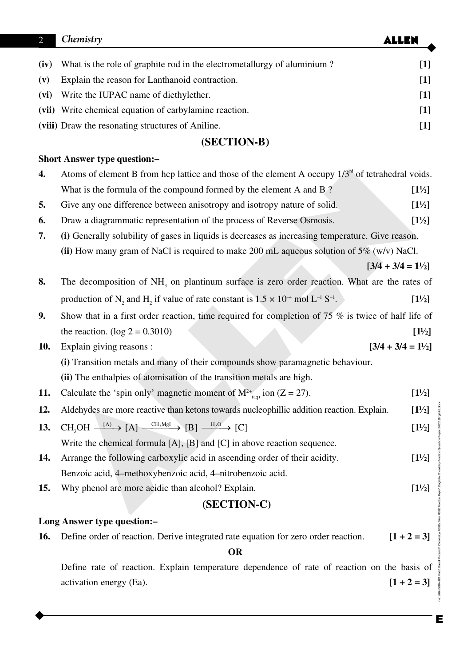| $\overline{2}$                      | Chemistry                                                                                                       | <b>ALLEN</b>                 |
|-------------------------------------|-----------------------------------------------------------------------------------------------------------------|------------------------------|
| (iv)                                | What is the role of graphite rod in the electrometallurgy of aluminium?                                         | $[1]$                        |
| (v)                                 | Explain the reason for Lanthanoid contraction.                                                                  | $[1]$                        |
| (vi)                                | Write the IUPAC name of diethylether.                                                                           | $[1]$                        |
| (vii)                               | Write chemical equation of carbylamine reaction.                                                                | $[1]$                        |
|                                     | (viii) Draw the resonating structures of Aniline.                                                               | $[1]$                        |
|                                     | (SECTION-B)                                                                                                     |                              |
| <b>Short Answer type question:-</b> |                                                                                                                 |                              |
| 4.                                  | Atoms of element B from hcp lattice and those of the element A occupy $1/3nd$ of tetrahedral voids.             |                              |
|                                     | What is the formula of the compound formed by the element A and B?                                              | $[1\frac{1}{2}]$             |
| 5.                                  | Give any one difference between anisotropy and isotropy nature of solid.                                        | $[1\frac{1}{2}]$             |
| 6.                                  | Draw a diagrammatic representation of the process of Reverse Osmosis.                                           | $[1\frac{1}{2}]$             |
| 7.                                  | (i) Generally solubility of gases in liquids is decreases as increasing temperature. Give reason.               |                              |
|                                     | (ii) How many gram of NaCl is required to make 200 mL aqueous solution of $5\%$ (w/v) NaCl.                     |                              |
|                                     |                                                                                                                 | $[3/4 + 3/4 = 1\frac{1}{2}]$ |
| 8.                                  | The decomposition of NH <sub>3</sub> on plantinum surface is zero order reaction. What are the rates of         |                              |
|                                     | production of N, and H, if value of rate constant is $1.5 \times 10^{-4}$ mol L <sup>-1</sup> S <sup>-1</sup> . | $[1\frac{1}{2}]$             |
| 9.                                  | Show that in a first order reaction, time required for completion of $75\%$ is twice of half life of            |                              |
|                                     | the reaction. ( $log 2 = 0.3010$ )                                                                              | $[1\frac{1}{2}]$             |
| <b>10.</b>                          | Explain giving reasons :                                                                                        | $[3/4 + 3/4 = 11/2]$         |
|                                     | (i) Transition metals and many of their compounds show paramagnetic behaviour.                                  |                              |
|                                     | (ii) The enthalpies of atomisation of the transition metals are high.                                           |                              |
| 11.                                 | Calculate the 'spin only' magnetic moment of $M^{2+}$ <sub>(a0</sub> ) ion (Z = 27).                            | $[1\frac{1}{2}]$             |
| 12.                                 | Aldehydes are more reactive than ketons towards nucleophillic addition reaction. Explain.                       | $[1\frac{1}{2}]$             |
| 13.                                 | $CH_3OH \xrightarrow{[A]} [A] \xrightarrow{CH_3MgI} [B] \xrightarrow{H_2O} [C]$                                 | $[1\frac{1}{2}]$             |
|                                     | Write the chemical formula $[A]$ , $[B]$ and $[C]$ in above reaction sequence.                                  |                              |
| 14.                                 | Arrange the following carboxylic acid in ascending order of their acidity.                                      | $[1\frac{1}{2}]$             |
|                                     | Benzoic acid, 4-methoxybenzoic acid, 4-nitrobenzoic acid.                                                       |                              |
| <b>15.</b>                          | Why phenol are more acidic than alcohol? Explain.                                                               | $[1\frac{1}{2}]$             |
|                                     | (SECTION-C)                                                                                                     |                              |
| Long Answer type question:-         |                                                                                                                 |                              |
| 16.                                 | Define order of reaction. Derive integrated rate equation for zero order reaction.                              | $[1 + 2 = 3]$                |
|                                     | <b>OR</b>                                                                                                       |                              |
|                                     | Define rate of reaction. Explain temperature dependence of rate of reaction on the basis of                     |                              |
|                                     | activation energy (Ea).                                                                                         | $[1 + 2 = 3]$                |
|                                     |                                                                                                                 |                              |

Enode06\B0BA-BB\Kota\Board Material\Chemistry\RBSE\Siker RBSE Practice Paper\English\Chemistry Practice Question Paper-2022 (English).docx

E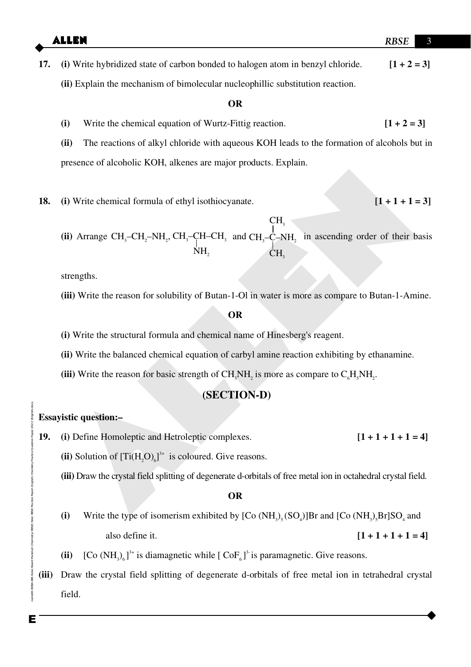**17. (i)** Write hybridized state of carbon bonded to halogen atom in benzyl chloride. **[1 + 2 = 3] (ii)** Explain the mechanism of bimolecular nucleophillic substitution reaction.

#### **OR**

(i) Write the chemical equation of Wurtz-Fittig reaction.  $[1 + 2 = 3]$ 

**(ii)** The reactions of alkyl chloride with aqueous KOH leads to the formation of alcohols but in presence of alcoholic KOH, alkenes are major products. Explain.

- **18. (i)** Write chemical formula of ethyl isothiocyanate.  $[1 + 1 + 1 = 3]$
- (i) Write chemical formula of ethyl isothiocyanate. [1 + 1 + 1 = 3]<br>
(ii) Arrange CH<sub>7</sub>-CH<sub>2</sub>-NH<sub>2</sub>, CH<sub>3</sub>-CH<sub>2</sub>-CH<sub>3</sub> and CH<sub>2</sub>-C<sub>2</sub>-NH<sub>3</sub> in ascending order of their basis<br>  ${}_{\text{NH}_2}^{\text{CH}}$ <br>
strengths.<br>
(iii) Write the  $(iii)$  Arrange  $CH_3$ -CH<sub>2</sub>-NH<sub>2</sub>, CH<sub>3</sub>-CH-CH<sub>3</sub>  $\rm NH_{2}$ and  $CH_3-C-NH_2$  in ascending order of their basis CH<sub>3</sub> CH<sub>3</sub>

strengths.

**(iii)** Write the reason for solubility of Butan-1-Ol in water is more as compare to Butan-1-Amine.

#### **OR**

- **(i)** Write the structural formula and chemical name of Hinesberg's reagent.
- **(ii)** Write the balanced chemical equation of carbyl amine reaction exhibiting by ethanamine.
- (iii) Write the reason for basic strength of  $CH<sub>3</sub>NH<sub>2</sub>$  is more as compare to  $C<sub>6</sub>H<sub>5</sub>NH<sub>2</sub>$ .

## **(SECTION-D)**

#### **Essayistic question:–**

- **19.** (i) Define Homoleptic and Hetroleptic complexes.  $[1 + 1 + 1 + 1 = 4]$ 
	- (ii) Solution of  $[Ti(H_2O)_6]^3$ <sup>+</sup> is coloured. Give reasons.
	- **(iii)** Draw the crystal field splitting of degenerate d-orbitals of free metal ion in octahedral crystal field.

#### **OR**

- (i) Write the type of isomerism exhibited by  $[Co(NH_3)_{5}(SO_4)]Br$  and  $[Co(NH_3)_{5}Br]SO_4$  and also define it. **[1 + 1 + 1 + 1 = 4]**
- (ii)  $\left[ \text{Co } (\text{NH}_3)_6 \right]^{3+}$  is diamagnetic while  $\left[ \text{CoF}_6 \right]^{3-}$  is paramagnetic. Give reasons.
- **(iii)** Draw the crystal field splitting of degenerate d-orbitals of free metal ion in tetrahedral crystal field.

aperNEnglishNChe